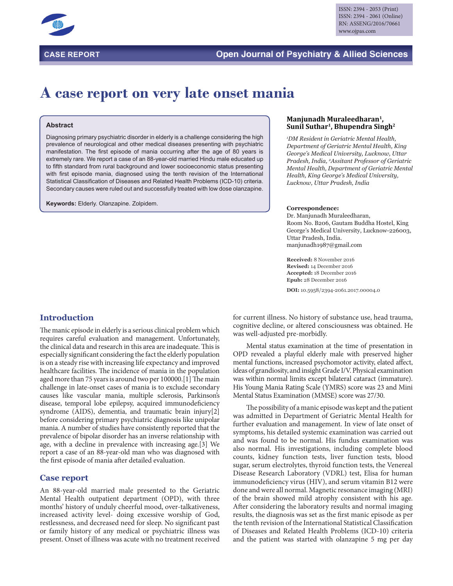

## **CASE REPORT Open Journal of Psychiatry & Allied Sciences**

## **A case report on very late onset mania**

#### **Abstract**

Diagnosing primary psychiatric disorder in elderly is a challenge considering the high prevalence of neurological and other medical diseases presenting with psychiatric manifestation. The first episode of mania occurring after the age of 80 years is extremely rare. We report a case of an 88-year-old married Hindu male educated up to fifth standard from rural background and lower socioeconomic status presenting with first episode mania, diagnosed using the tenth revision of the International Statistical Classification of Diseases and Related Health Problems (ICD-10) criteria. Secondary causes were ruled out and successfully treated with low dose olanzapine.

**Keywords:** Elderly. Olanzapine. Zolpidem.

# **Manjunadh Muraleedharan1, Sunil Suthar1, Bhupendra Singh2**

*1 DM Resident in Geriatric Mental Health, Department of Geriatric Mental Health, King George's Medical University, Lucknow, Uttar Pradesh, India, 2 Assitant Professor of Geriatric Mental Health, Department of Geriatric Mental Health, King George's Medical University, Lucknow, Uttar Pradesh, India*

#### **Correspondence:**

Dr. Manjunadh Muraleedharan, Room No. B206, Gautam Buddha Hostel, King George's Medical University, Lucknow-226003, Uttar Pradesh, India. manjunadh1987@gmail.com

**Received:** 8 November 2016 **Revised:** 14 December 2016 **Accepted:** 18 December 2016 **Epub:** 28 December 2016

**DOI:** 10.5958/2394-2061.2017.00004.0

## **Introduction**

The manic episode in elderly is a serious clinical problem which requires careful evaluation and management. Unfortunately, the clinical data and research in this area are inadequate. This is especially significant considering the fact the elderly population is on a steady rise with increasing life expectancy and improved healthcare facilities. The incidence of mania in the population aged more than 75 years is around two per 100000.[1] The main challenge in late-onset cases of mania is to exclude secondary causes like vascular mania, multiple sclerosis, Parkinson's disease, temporal lobe epilepsy, acquired immunodeficiency syndrome (AIDS), dementia, and traumatic brain injury[2] before considering primary psychiatric diagnosis like unipolar mania. A number of studies have consistently reported that the prevalence of bipolar disorder has an inverse relationship with age, with a decline in prevalence with increasing age.[3] We report a case of an 88-year-old man who was diagnosed with the first episode of mania after detailed evaluation.

#### **Case report**

An 88-year-old married male presented to the Geriatric Mental Health outpatient department (OPD), with three months' history of unduly cheerful mood, over-talkativeness, increased activity level- doing excessive worship of God, restlessness, and decreased need for sleep. No significant past or family history of any medical or psychiatric illness was present. Onset of illness was acute with no treatment received for current illness. No history of substance use, head trauma, cognitive decline, or altered consciousness was obtained. He was well-adjusted pre-morbidly.

Mental status examination at the time of presentation in OPD revealed a playful elderly male with preserved higher mental functions, increased psychomotor activity, elated affect, ideas of grandiosity, and insight Grade I/V. Physical examination was within normal limits except bilateral cataract (immature). His Young Mania Rating Scale (YMRS) score was 23 and Mini Mental Status Examination (MMSE) score was 27/30.

The possibility of a manic episode was kept and the patient was admitted in Department of Geriatric Mental Health for further evaluation and management. In view of late onset of symptoms, his detailed systemic examination was carried out and was found to be normal. His fundus examination was also normal. His investigations, including complete blood counts, kidney function tests, liver function tests, blood sugar, serum electrolytes, thyroid function tests, the Venereal Disease Research Laboratory (VDRL) test, Elisa for human immunodeficiency virus (HIV), and serum vitamin B12 were done and were all normal. Magnetic resonance imaging (MRI) of the brain showed mild atrophy consistent with his age. After considering the laboratory results and normal imaging results, the diagnosis was set as the first manic episode as per the tenth revision of the International Statistical Classification of Diseases and Related Health Problems (ICD-10) criteria and the patient was started with olanzapine 5 mg per day